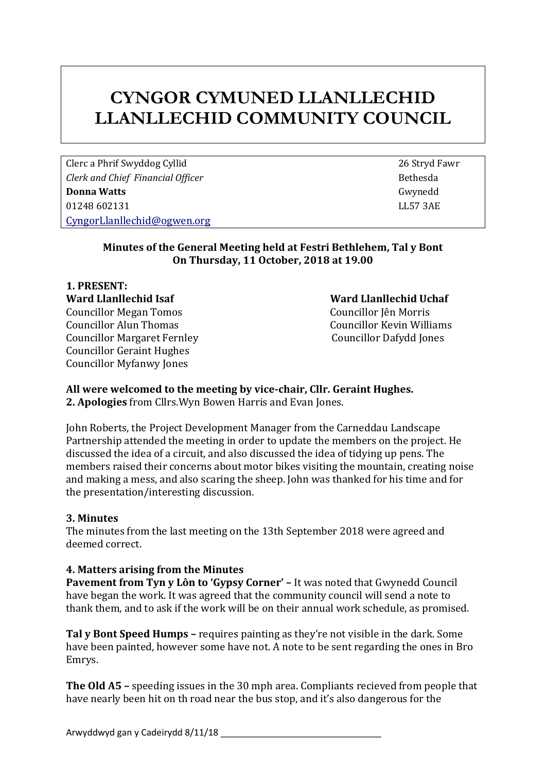# **CYNGOR CYMUNED LLANLLECHID LLANLLECHID COMMUNITY COUNCIL**

Clerc a Phrif Swyddog Cyllid 26 Stryd Fawr *Clerk* and *Chief Financial Officer* **Bethesda Bethesda Donna Watts** Gwynedd 01248 602131 LL57 3AE [CyngorLlanllechid@ogwen.org](mailto:CyngorLlanllechid@ogwen.org)

#### **Minutes of the General Meeting held at Festri Bethlehem, Tal y Bont On Thursday, 11 October, 2018 at 19.00**

#### **1. PRESENT: Ward Llanllechid Isaf Ward Llanllechid Uchaf**  Councillor Megan Tomos Councillor Jên Morris Councillor Alun Thomas Councillor Kevin Williams Councillor Margaret Fernley Councillor Dafydd Jones Councillor Geraint Hughes Councillor Myfanwy Jones

## **All were welcomed to the meeting by vice-chair, Cllr. Geraint Hughes.**

**2. Apologies** from Cllrs.Wyn Bowen Harris and Evan Jones.

John Roberts, the Project Development Manager from the Carneddau Landscape Partnership attended the meeting in order to update the members on the project. He discussed the idea of a circuit, and also discussed the idea of tidying up pens. The members raised their concerns about motor bikes visiting the mountain, creating noise and making a mess, and also scaring the sheep. John was thanked for his time and for the presentation/interesting discussion.

### **3. Minutes**

The minutes from the last meeting on the 13th September 2018 were agreed and deemed correct.

### **4. Matters arising from the Minutes**

**Pavement from Tyn y Lôn to 'Gypsy Corner' –** It was noted that Gwynedd Council have began the work. It was agreed that the community council will send a note to thank them, and to ask if the work will be on their annual work schedule, as promised.

**Tal y Bont Speed Humps –** requires painting as they're not visible in the dark. Some have been painted, however some have not. A note to be sent regarding the ones in Bro Emrys.

**The Old A5 –** speeding issues in the 30 mph area. Compliants recieved from people that have nearly been hit on th road near the bus stop, and it's also dangerous for the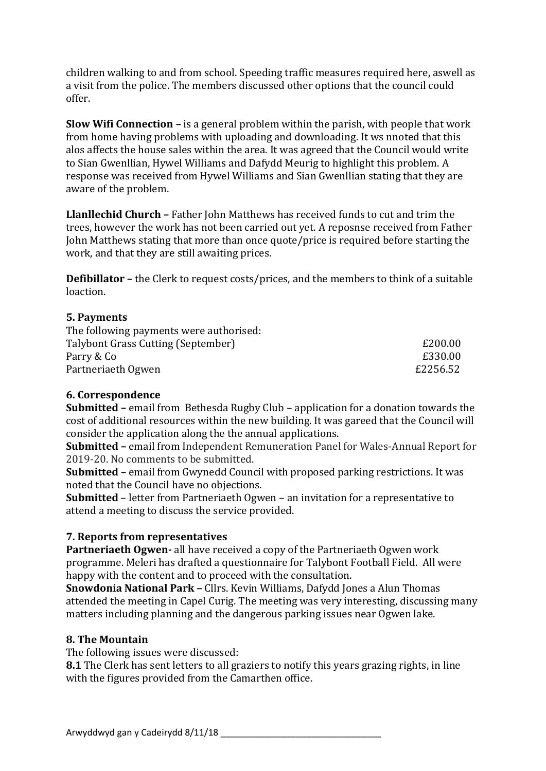children walking to and from school. Speeding traffic measures required here, aswell as a visit from the police. The members discussed other options that the council could offer.

**Slow Wifi Connection –** is a general problem within the parish, with people that work from home having problems with uploading and downloading. It ws nnoted that this alos affects the house sales within the area. It was agreed that the Council would write to Sian Gwenllian, Hywel Williams and Dafydd Meurig to highlight this problem. A response was received from Hywel Williams and Sian Gwenllian stating that they are aware of the problem.

**Llanllechid Church –** Father John Matthews has received funds to cut and trim the trees, however the work has not been carried out yet. A reposnse received from Father John Matthews stating that more than once quote/price is required before starting the work, and that they are still awaiting prices.

**Defibillator –** the Clerk to request costs/prices, and the members to think of a suitable loaction.

#### **5. Payments**

| £200.00  |
|----------|
| £330.00  |
| £2256.52 |
|          |

#### **6. Correspondence**

**Submitted –** email from Bethesda Rugby Club – application for a donation towards the cost of additional resources within the new building. It was gareed that the Council will consider the application along the the annual applications.

**Submitted –** email from Independent Remuneration Panel for Wales-Annual Report for 2019-20. No comments to be submitted.

**Submitted –** email from Gwynedd Council with proposed parking restrictions. It was noted that the Council have no objections.

**Submitted** – letter from Partneriaeth Ogwen – an invitation for a representative to attend a meeting to discuss the service provided.

#### **7. Reports from representatives**

**Partneriaeth Ogwen-** all have received a copy of the Partneriaeth Ogwen work programme. Meleri has drafted a questionnaire for Talybont Football Field. All were happy with the content and to proceed with the consultation.

**Snowdonia National Park –** Cllrs. Kevin Williams, Dafydd Jones a Alun Thomas attended the meeting in Capel Curig. The meeting was very interesting, discussing many matters including planning and the dangerous parking issues near Ogwen lake.

#### **8. The Mountain**

The following issues were discussed:

**8.1** The Clerk has sent letters to all graziers to notify this years grazing rights, in line with the figures provided from the Camarthen office.